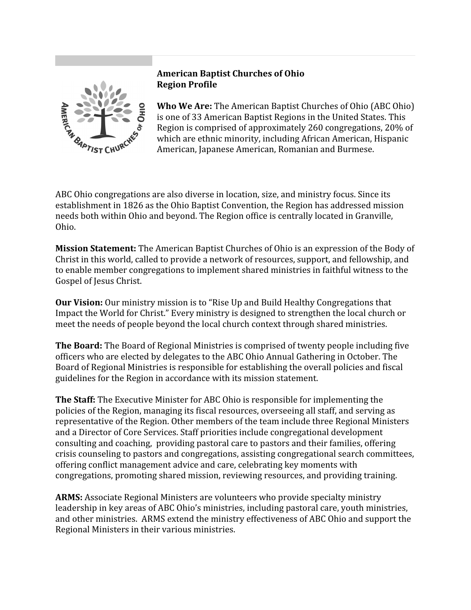

## **American Baptist Churches of Ohio Region Profile**

**Who We Are:** The American Baptist Churches of Ohio (ABC Ohio) is one of 33 American Baptist Regions in the United States. This Region is comprised of approximately 260 congregations, 20% of which are ethnic minority, including African American, Hispanic American, Japanese American, Romanian and Burmese.

ABC Ohio congregations are also diverse in location, size, and ministry focus. Since its establishment in 1826 as the Ohio Baptist Convention, the Region has addressed mission needs both within Ohio and beyond. The Region office is centrally located in Granville, Ohio.

**Mission Statement:** The American Baptist Churches of Ohio is an expression of the Body of Christ in this world, called to provide a network of resources, support, and fellowship, and to enable member congregations to implement shared ministries in faithful witness to the Gospel of Jesus Christ.

**Our Vision:** Our ministry mission is to "Rise Up and Build Healthy Congregations that Impact the World for Christ." Every ministry is designed to strengthen the local church or meet the needs of people beyond the local church context through shared ministries.

**The Board:** The Board of Regional Ministries is comprised of twenty people including five officers who are elected by delegates to the ABC Ohio Annual Gathering in October. The Board of Regional Ministries is responsible for establishing the overall policies and fiscal guidelines for the Region in accordance with its mission statement.

**The Staff:** The Executive Minister for ABC Ohio is responsible for implementing the policies of the Region, managing its fiscal resources, overseeing all staff, and serving as representative of the Region. Other members of the team include three Regional Ministers and a Director of Core Services. Staff priorities include congregational development consulting and coaching, providing pastoral care to pastors and their families, offering crisis counseling to pastors and congregations, assisting congregational search committees, offering conflict management advice and care, celebrating key moments with congregations, promoting shared mission, reviewing resources, and providing training.

**ARMS:** Associate Regional Ministers are volunteers who provide specialty ministry leadership in key areas of ABC Ohio's ministries, including pastoral care, youth ministries, and other ministries. ARMS extend the ministry effectiveness of ABC Ohio and support the Regional Ministers in their various ministries.